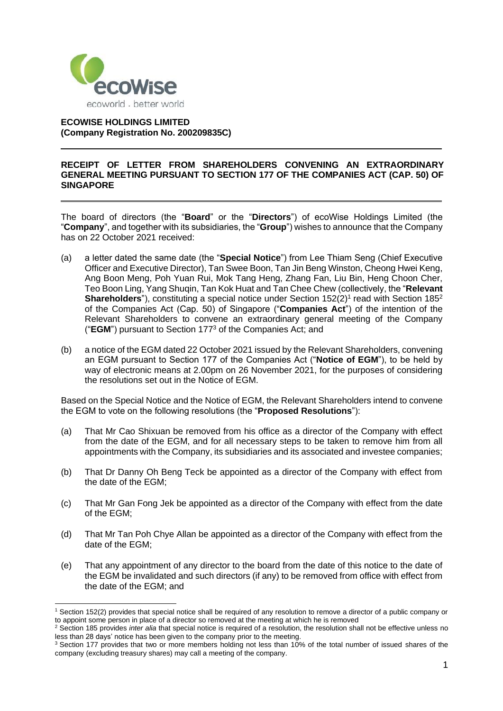

## **ECOWISE HOLDINGS LIMITED (Company Registration No. 200209835C)**

## **RECEIPT OF LETTER FROM SHAREHOLDERS CONVENING AN EXTRAORDINARY GENERAL MEETING PURSUANT TO SECTION 177 OF THE COMPANIES ACT (CAP. 50) OF SINGAPORE**

The board of directors (the "**Board**" or the "**Directors**") of ecoWise Holdings Limited (the "**Company**", and together with its subsidiaries, the "**Group**") wishes to announce that the Company has on 22 October 2021 received:

- (a) a letter dated the same date (the "**Special Notice**") from Lee Thiam Seng (Chief Executive Officer and Executive Director), Tan Swee Boon, Tan Jin Beng Winston, Cheong Hwei Keng, Ang Boon Meng, Poh Yuan Rui, Mok Tang Heng, Zhang Fan, Liu Bin, Heng Choon Cher, Teo Boon Ling, Yang Shuqin, Tan Kok Huat and Tan Chee Chew (collectively, the "**Relevant Shareholders**"), constituting a special notice under Section 152(2)<sup>1</sup> read with Section 185<sup>2</sup> of the Companies Act (Cap. 50) of Singapore ("**Companies Act**") of the intention of the Relevant Shareholders to convene an extraordinary general meeting of the Company ("**EGM**") pursuant to Section 177<sup>3</sup> of the Companies Act; and
- (b) a notice of the EGM dated 22 October 2021 issued by the Relevant Shareholders, convening an EGM pursuant to Section 177 of the Companies Act ("**Notice of EGM**"), to be held by way of electronic means at 2.00pm on 26 November 2021, for the purposes of considering the resolutions set out in the Notice of EGM.

Based on the Special Notice and the Notice of EGM, the Relevant Shareholders intend to convene the EGM to vote on the following resolutions (the "**Proposed Resolutions**"):

- (a) That Mr Cao Shixuan be removed from his office as a director of the Company with effect from the date of the EGM, and for all necessary steps to be taken to remove him from all appointments with the Company, its subsidiaries and its associated and investee companies;
- (b) That Dr Danny Oh Beng Teck be appointed as a director of the Company with effect from the date of the EGM;
- (c) That Mr Gan Fong Jek be appointed as a director of the Company with effect from the date of the EGM;
- (d) That Mr Tan Poh Chye Allan be appointed as a director of the Company with effect from the date of the EGM;
- (e) That any appointment of any director to the board from the date of this notice to the date of the EGM be invalidated and such directors (if any) to be removed from office with effect from the date of the EGM; and

<sup>1</sup> Section 152(2) provides that special notice shall be required of any resolution to remove a director of a public company or to appoint some person in place of a director so removed at the meeting at which he is removed

<sup>2</sup> Section 185 provides *inter alia* that special notice is required of a resolution, the resolution shall not be effective unless no less than 28 days' notice has been given to the company prior to the meeting.

 $3$  Section 177 provides that two or more members holding not less than 10% of the total number of issued shares of the company (excluding treasury shares) may call a meeting of the company.